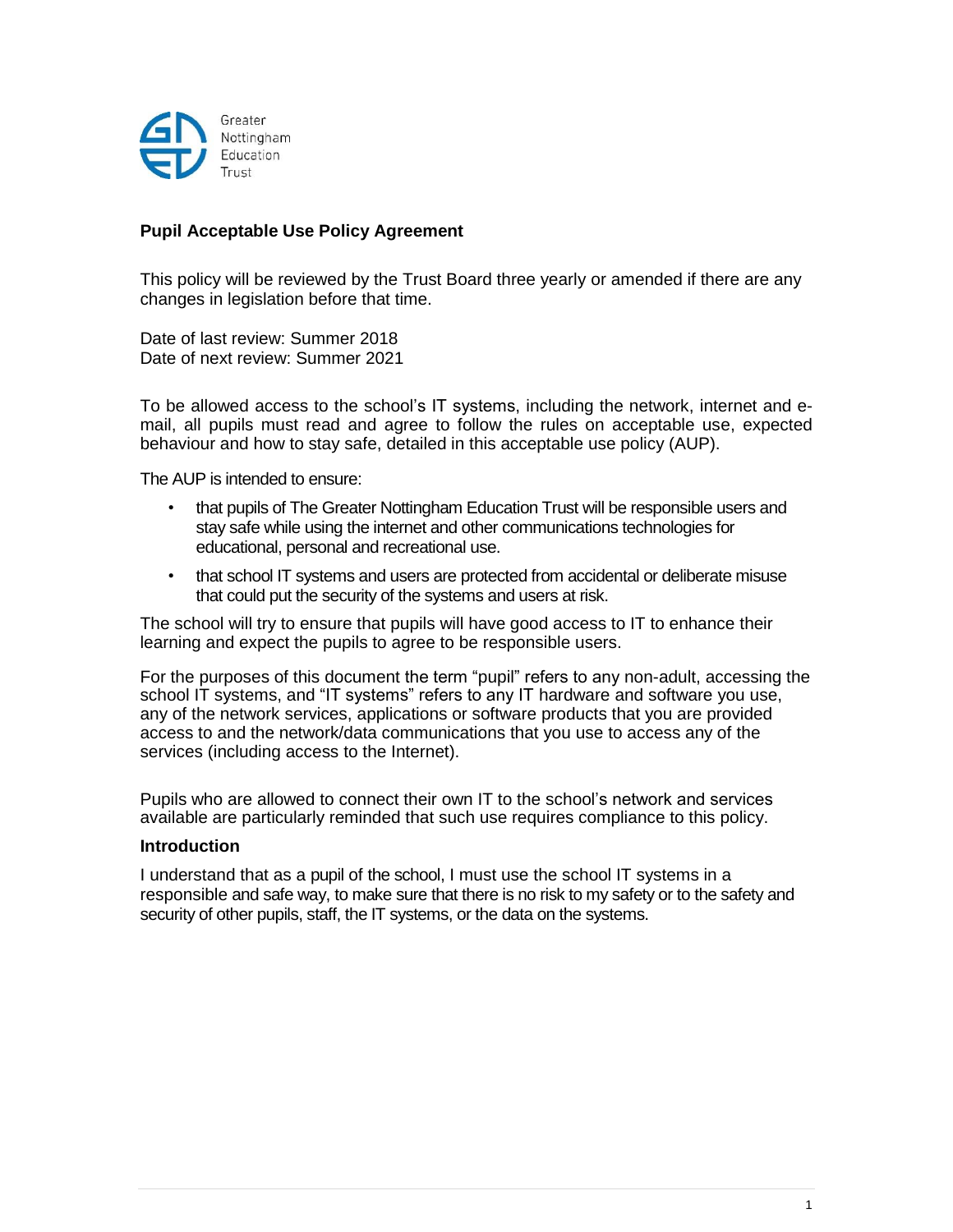

# **Pupil Acceptable Use Policy Agreement**

This policy will be reviewed by the Trust Board three yearly or amended if there are any changes in legislation before that time.

Date of last review: Summer 2018 Date of next review: Summer 2021

To be allowed access to the school's IT systems, including the network, internet and email, all pupils must read and agree to follow the rules on acceptable use, expected behaviour and how to stay safe, detailed in this acceptable use policy (AUP).

The AUP is intended to ensure:

- that pupils of The Greater Nottingham Education Trust will be responsible users and stay safe while using the internet and other communications technologies for educational, personal and recreational use.
- that school IT systems and users are protected from accidental or deliberate misuse that could put the security of the systems and users at risk.

The school will try to ensure that pupils will have good access to IT to enhance their learning and expect the pupils to agree to be responsible users.

For the purposes of this document the term "pupil" refers to any non-adult, accessing the school IT systems, and "IT systems" refers to any IT hardware and software you use, any of the network services, applications or software products that you are provided access to and the network/data communications that you use to access any of the services (including access to the Internet).

Pupils who are allowed to connect their own IT to the school's network and services available are particularly reminded that such use requires compliance to this policy.

#### **Introduction**

I understand that as a pupil of the school, I must use the school IT systems in a responsible and safe way, to make sure that there is no risk to my safety or to the safety and security of other pupils, staff, the IT systems, or the data on the systems.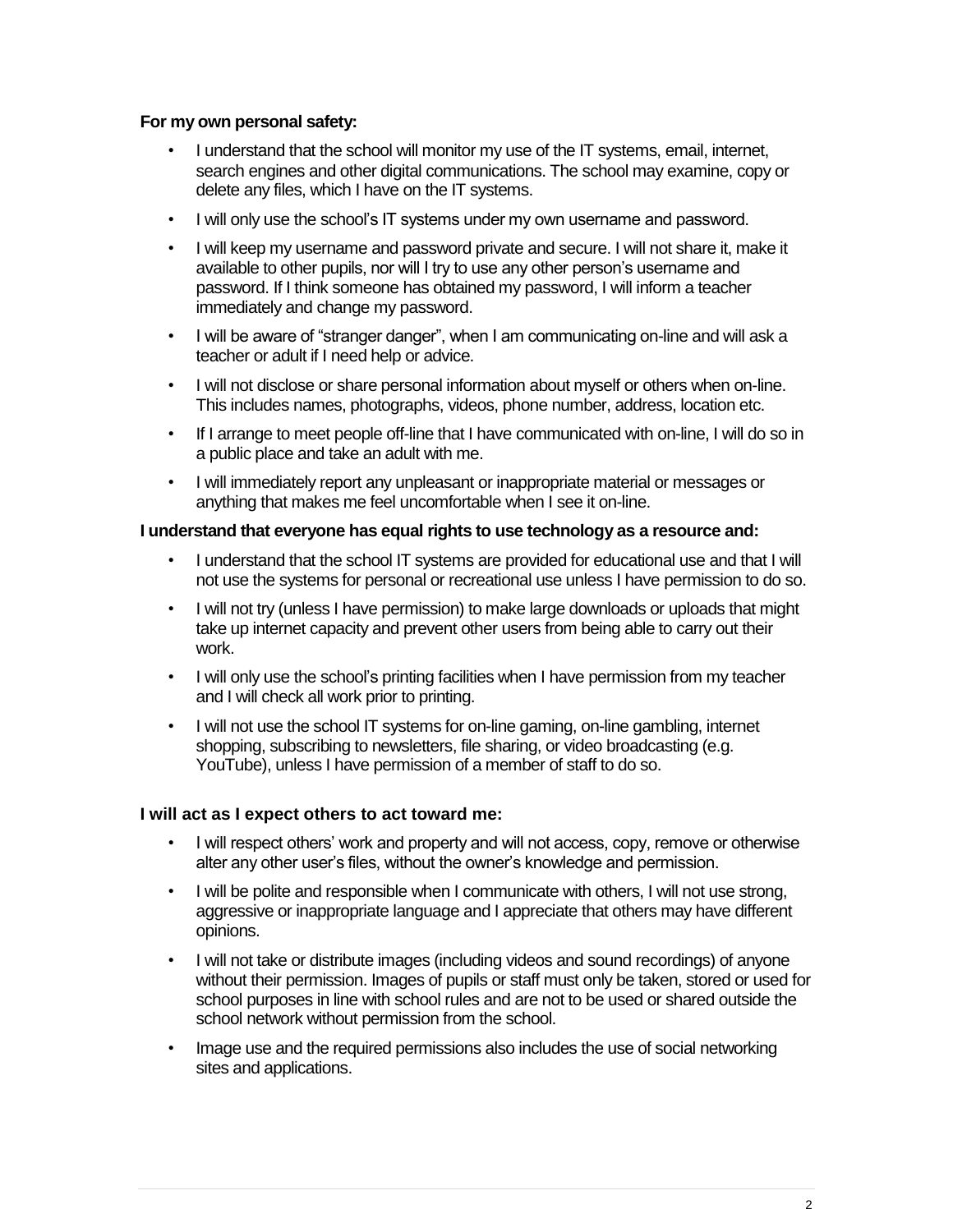## **For my own personal safety:**

- I understand that the school will monitor my use of the IT systems, email, internet, search engines and other digital communications. The school may examine, copy or delete any files, which I have on the IT systems.
- I will only use the school's IT systems under my own username and password.
- I will keep my username and password private and secure. I will not share it, make it available to other pupils, nor will I try to use any other person's username and password. If I think someone has obtained my password, I will inform a teacher immediately and change my password.
- I will be aware of "stranger danger", when I am communicating on-line and will ask a teacher or adult if I need help or advice.
- I will not disclose or share personal information about myself or others when on-line. This includes names, photographs, videos, phone number, address, location etc.
- If I arrange to meet people off-line that I have communicated with on-line, I will do so in a public place and take an adult with me.
- I will immediately report any unpleasant or inappropriate material or messages or anything that makes me feel uncomfortable when I see it on-line.

## **I understand that everyone has equal rights to use technology as a resource and:**

- I understand that the school IT systems are provided for educational use and that I will not use the systems for personal or recreational use unless I have permission to do so.
- I will not try (unless I have permission) to make large downloads or uploads that might take up internet capacity and prevent other users from being able to carry out their work.
- I will only use the school's printing facilities when I have permission from my teacher and I will check all work prior to printing.
- I will not use the school IT systems for on-line gaming, on-line gambling, internet shopping, subscribing to newsletters, file sharing, or video broadcasting (e.g. YouTube), unless I have permission of a member of staff to do so.

## **I will act as I expect others to act toward me:**

- I will respect others' work and property and will not access, copy, remove or otherwise alter any other user's files, without the owner's knowledge and permission.
- I will be polite and responsible when I communicate with others, I will not use strong, aggressive or inappropriate language and I appreciate that others may have different opinions.
- I will not take or distribute images (including videos and sound recordings) of anyone without their permission. Images of pupils or staff must only be taken, stored or used for school purposes in line with school rules and are not to be used or shared outside the school network without permission from the school.
- Image use and the required permissions also includes the use of social networking sites and applications.